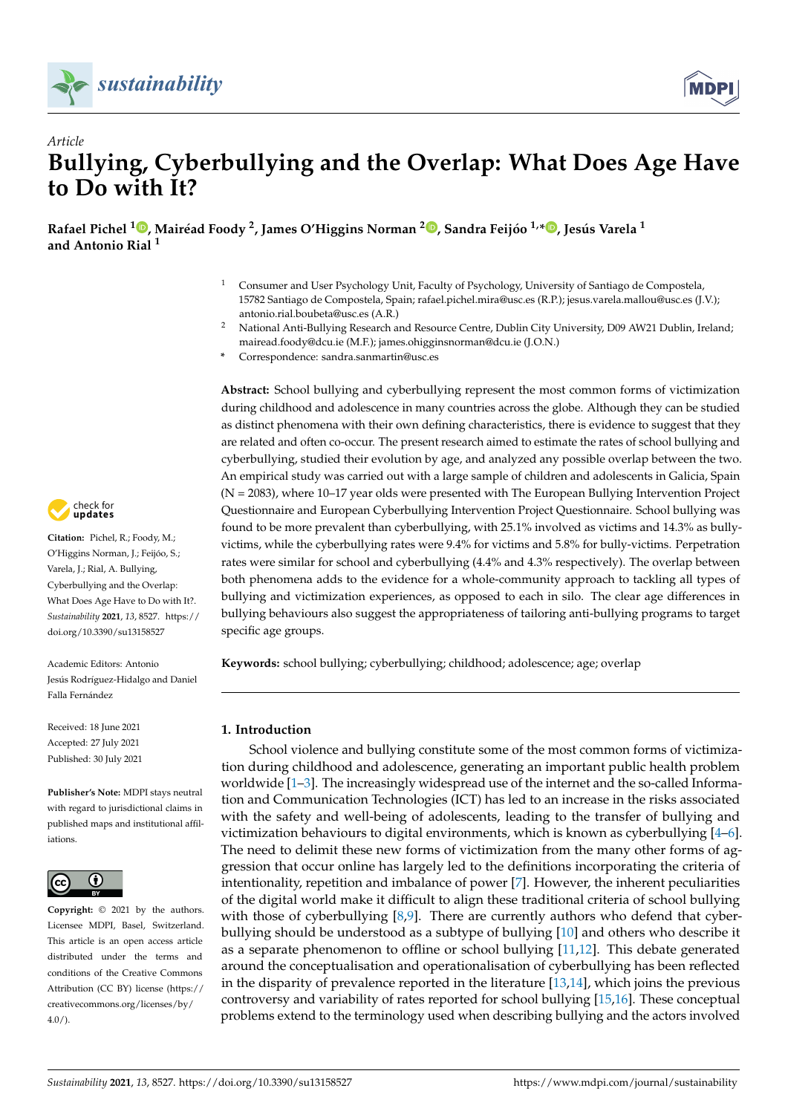



# *Article* **Bullying, Cyberbullying and the Overlap: What Does Age Have to Do with It?**

Rafael Pichel <sup>1</sup>®[,](https://orcid.org/0000-0003-0997-6942) Mairéad Foody <sup>2</sup>, James O'Higgins Norman <sup>2</sup>®, Sandra Feijóo <sup>1,∗®</sup>, Jesús Varela <sup>1</sup> **and Antonio Rial <sup>1</sup>**

- <sup>1</sup> Consumer and User Psychology Unit, Faculty of Psychology, University of Santiago de Compostela, 15782 Santiago de Compostela, Spain; rafael.pichel.mira@usc.es (R.P.); jesus.varela.mallou@usc.es (J.V.); antonio.rial.boubeta@usc.es (A.R.)
- <sup>2</sup> National Anti-Bullying Research and Resource Centre, Dublin City University, D09 AW21 Dublin, Ireland; mairead.foody@dcu.ie (M.F.); james.ohigginsnorman@dcu.ie (J.O.N.)
- **\*** Correspondence: sandra.sanmartin@usc.es

**Abstract:** School bullying and cyberbullying represent the most common forms of victimization during childhood and adolescence in many countries across the globe. Although they can be studied as distinct phenomena with their own defining characteristics, there is evidence to suggest that they are related and often co-occur. The present research aimed to estimate the rates of school bullying and cyberbullying, studied their evolution by age, and analyzed any possible overlap between the two. An empirical study was carried out with a large sample of children and adolescents in Galicia, Spain (N = 2083), where 10–17 year olds were presented with The European Bullying Intervention Project Questionnaire and European Cyberbullying Intervention Project Questionnaire. School bullying was found to be more prevalent than cyberbullying, with 25.1% involved as victims and 14.3% as bullyvictims, while the cyberbullying rates were 9.4% for victims and 5.8% for bully-victims. Perpetration rates were similar for school and cyberbullying (4.4% and 4.3% respectively). The overlap between both phenomena adds to the evidence for a whole-community approach to tackling all types of bullying and victimization experiences, as opposed to each in silo. The clear age differences in bullying behaviours also suggest the appropriateness of tailoring anti-bullying programs to target specific age groups.

**Keywords:** school bullying; cyberbullying; childhood; adolescence; age; overlap

# **1. Introduction**

School violence and bullying constitute some of the most common forms of victimization during childhood and adolescence, generating an important public health problem worldwide [\[1–](#page-8-0)[3\]](#page-9-0). The increasingly widespread use of the internet and the so-called Information and Communication Technologies (ICT) has led to an increase in the risks associated with the safety and well-being of adolescents, leading to the transfer of bullying and victimization behaviours to digital environments, which is known as cyberbullying [\[4](#page-9-1)[–6\]](#page-9-2). The need to delimit these new forms of victimization from the many other forms of aggression that occur online has largely led to the definitions incorporating the criteria of intentionality, repetition and imbalance of power [\[7\]](#page-9-3). However, the inherent peculiarities of the digital world make it difficult to align these traditional criteria of school bullying with those of cyberbullying  $[8,9]$  $[8,9]$ . There are currently authors who defend that cyberbullying should be understood as a subtype of bullying [\[10\]](#page-9-6) and others who describe it as a separate phenomenon to offline or school bullying [\[11,](#page-9-7)[12\]](#page-9-8). This debate generated around the conceptualisation and operationalisation of cyberbullying has been reflected in the disparity of prevalence reported in the literature [\[13,](#page-9-9)[14\]](#page-9-10), which joins the previous controversy and variability of rates reported for school bullying [\[15,](#page-9-11)[16\]](#page-9-12). These conceptual problems extend to the terminology used when describing bullying and the actors involved



**Citation:** Pichel, R.; Foody, M.; O'Higgins Norman, J.; Feijóo, S.; Varela, J.; Rial, A. Bullying, Cyberbullying and the Overlap: What Does Age Have to Do with It?. *Sustainability* **2021**, *13*, 8527. [https://](https://doi.org/10.3390/su13158527) [doi.org/10.3390/su13158527](https://doi.org/10.3390/su13158527)

Academic Editors: Antonio Jesús Rodríguez-Hidalgo and Daniel Falla Fernández

Received: 18 June 2021 Accepted: 27 July 2021 Published: 30 July 2021

**Publisher's Note:** MDPI stays neutral with regard to jurisdictional claims in published maps and institutional affiliations.



**Copyright:** © 2021 by the authors. Licensee MDPI, Basel, Switzerland. This article is an open access article distributed under the terms and conditions of the Creative Commons Attribution (CC BY) license (https:/[/](https://creativecommons.org/licenses/by/4.0/) [creativecommons.org/licenses/by/](https://creativecommons.org/licenses/by/4.0/) 4.0/).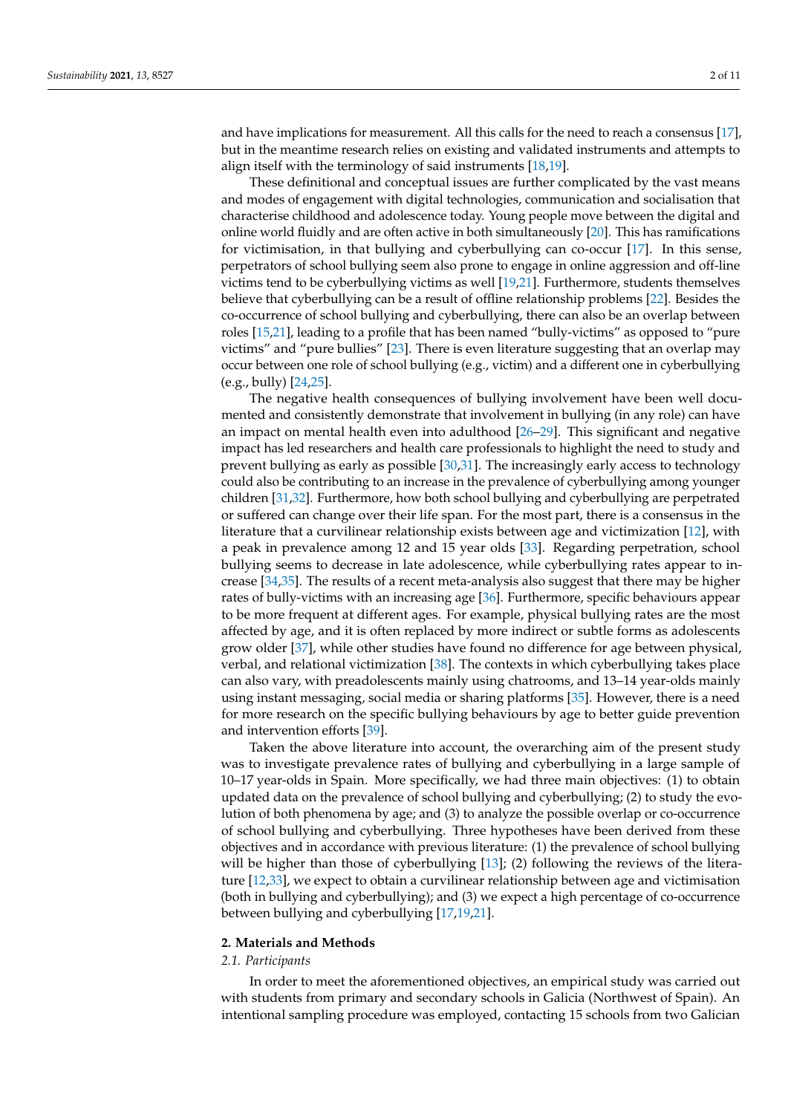and have implications for measurement. All this calls for the need to reach a consensus [\[17\]](#page-9-13), but in the meantime research relies on existing and validated instruments and attempts to align itself with the terminology of said instruments [\[18,](#page-9-14)[19\]](#page-9-15).

These definitional and conceptual issues are further complicated by the vast means and modes of engagement with digital technologies, communication and socialisation that characterise childhood and adolescence today. Young people move between the digital and online world fluidly and are often active in both simultaneously [\[20\]](#page-9-16). This has ramifications for victimisation, in that bullying and cyberbullying can co-occur [\[17\]](#page-9-13). In this sense, perpetrators of school bullying seem also prone to engage in online aggression and off-line victims tend to be cyberbullying victims as well [\[19](#page-9-15)[,21\]](#page-9-17). Furthermore, students themselves believe that cyberbullying can be a result of offline relationship problems [\[22\]](#page-9-18). Besides the co-occurrence of school bullying and cyberbullying, there can also be an overlap between roles [\[15,](#page-9-11)[21\]](#page-9-17), leading to a profile that has been named "bully-victims" as opposed to "pure victims" and "pure bullies" [\[23\]](#page-9-19). There is even literature suggesting that an overlap may occur between one role of school bullying (e.g., victim) and a different one in cyberbullying (e.g., bully) [\[24](#page-9-20)[,25\]](#page-9-21).

The negative health consequences of bullying involvement have been well documented and consistently demonstrate that involvement in bullying (in any role) can have an impact on mental health even into adulthood [\[26](#page-9-22)[–29\]](#page-9-23). This significant and negative impact has led researchers and health care professionals to highlight the need to study and prevent bullying as early as possible [\[30](#page-9-24)[,31\]](#page-10-0). The increasingly early access to technology could also be contributing to an increase in the prevalence of cyberbullying among younger children [\[31,](#page-10-0)[32\]](#page-10-1). Furthermore, how both school bullying and cyberbullying are perpetrated or suffered can change over their life span. For the most part, there is a consensus in the literature that a curvilinear relationship exists between age and victimization [\[12\]](#page-9-8), with a peak in prevalence among 12 and 15 year olds [\[33\]](#page-10-2). Regarding perpetration, school bullying seems to decrease in late adolescence, while cyberbullying rates appear to increase [\[34,](#page-10-3)[35\]](#page-10-4). The results of a recent meta-analysis also suggest that there may be higher rates of bully-victims with an increasing age [\[36\]](#page-10-5). Furthermore, specific behaviours appear to be more frequent at different ages. For example, physical bullying rates are the most affected by age, and it is often replaced by more indirect or subtle forms as adolescents grow older [\[37\]](#page-10-6), while other studies have found no difference for age between physical, verbal, and relational victimization [\[38\]](#page-10-7). The contexts in which cyberbullying takes place can also vary, with preadolescents mainly using chatrooms, and 13–14 year-olds mainly using instant messaging, social media or sharing platforms [\[35\]](#page-10-4). However, there is a need for more research on the specific bullying behaviours by age to better guide prevention and intervention efforts [\[39\]](#page-10-8).

Taken the above literature into account, the overarching aim of the present study was to investigate prevalence rates of bullying and cyberbullying in a large sample of 10–17 year-olds in Spain. More specifically, we had three main objectives: (1) to obtain updated data on the prevalence of school bullying and cyberbullying; (2) to study the evolution of both phenomena by age; and (3) to analyze the possible overlap or co-occurrence of school bullying and cyberbullying. Three hypotheses have been derived from these objectives and in accordance with previous literature: (1) the prevalence of school bullying will be higher than those of cyberbullying [\[13\]](#page-9-9); (2) following the reviews of the literature [\[12](#page-9-8)[,33\]](#page-10-2), we expect to obtain a curvilinear relationship between age and victimisation (both in bullying and cyberbullying); and (3) we expect a high percentage of co-occurrence between bullying and cyberbullying [\[17](#page-9-13)[,19](#page-9-15)[,21\]](#page-9-17).

#### **2. Materials and Methods**

# *2.1. Participants*

In order to meet the aforementioned objectives, an empirical study was carried out with students from primary and secondary schools in Galicia (Northwest of Spain). An intentional sampling procedure was employed, contacting 15 schools from two Galician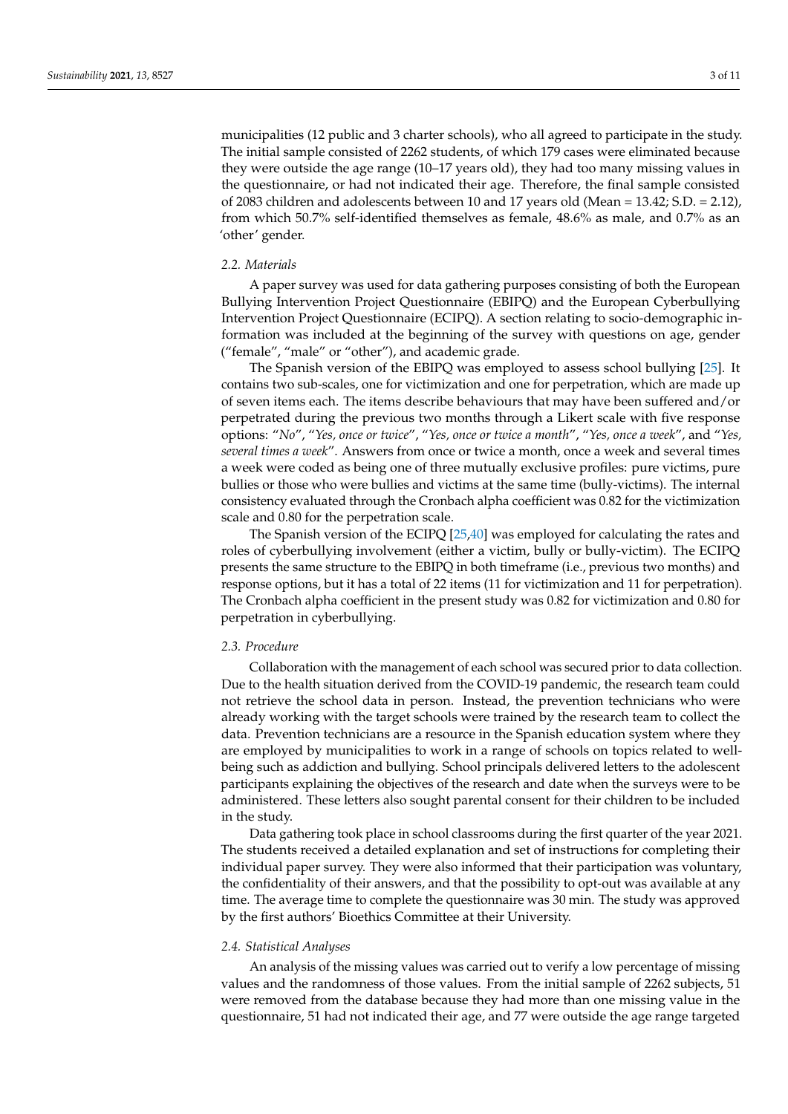municipalities (12 public and 3 charter schools), who all agreed to participate in the study. The initial sample consisted of 2262 students, of which 179 cases were eliminated because they were outside the age range (10–17 years old), they had too many missing values in the questionnaire, or had not indicated their age. Therefore, the final sample consisted of 2083 children and adolescents between 10 and 17 years old (Mean = 13.42; S.D. = 2.12), from which 50.7% self-identified themselves as female, 48.6% as male, and 0.7% as an 'other' gender.

# *2.2. Materials*

A paper survey was used for data gathering purposes consisting of both the European Bullying Intervention Project Questionnaire (EBIPQ) and the European Cyberbullying Intervention Project Questionnaire (ECIPQ). A section relating to socio-demographic information was included at the beginning of the survey with questions on age, gender ("female", "male" or "other"), and academic grade.

The Spanish version of the EBIPQ was employed to assess school bullying [\[25\]](#page-9-21). It contains two sub-scales, one for victimization and one for perpetration, which are made up of seven items each. The items describe behaviours that may have been suffered and/or perpetrated during the previous two months through a Likert scale with five response options: "*No*", "*Yes, once or twice*", "*Yes, once or twice a month*", "*Yes, once a week*", and "*Yes, several times a week*". Answers from once or twice a month, once a week and several times a week were coded as being one of three mutually exclusive profiles: pure victims, pure bullies or those who were bullies and victims at the same time (bully-victims). The internal consistency evaluated through the Cronbach alpha coefficient was 0.82 for the victimization scale and 0.80 for the perpetration scale.

The Spanish version of the ECIPQ [\[25](#page-9-21)[,40\]](#page-10-9) was employed for calculating the rates and roles of cyberbullying involvement (either a victim, bully or bully-victim). The ECIPQ presents the same structure to the EBIPQ in both timeframe (i.e., previous two months) and response options, but it has a total of 22 items (11 for victimization and 11 for perpetration). The Cronbach alpha coefficient in the present study was 0.82 for victimization and 0.80 for perpetration in cyberbullying.

### *2.3. Procedure*

Collaboration with the management of each school was secured prior to data collection. Due to the health situation derived from the COVID-19 pandemic, the research team could not retrieve the school data in person. Instead, the prevention technicians who were already working with the target schools were trained by the research team to collect the data. Prevention technicians are a resource in the Spanish education system where they are employed by municipalities to work in a range of schools on topics related to wellbeing such as addiction and bullying. School principals delivered letters to the adolescent participants explaining the objectives of the research and date when the surveys were to be administered. These letters also sought parental consent for their children to be included in the study.

Data gathering took place in school classrooms during the first quarter of the year 2021. The students received a detailed explanation and set of instructions for completing their individual paper survey. They were also informed that their participation was voluntary, the confidentiality of their answers, and that the possibility to opt-out was available at any time. The average time to complete the questionnaire was 30 min. The study was approved by the first authors' Bioethics Committee at their University.

# *2.4. Statistical Analyses*

An analysis of the missing values was carried out to verify a low percentage of missing values and the randomness of those values. From the initial sample of 2262 subjects, 51 were removed from the database because they had more than one missing value in the questionnaire, 51 had not indicated their age, and 77 were outside the age range targeted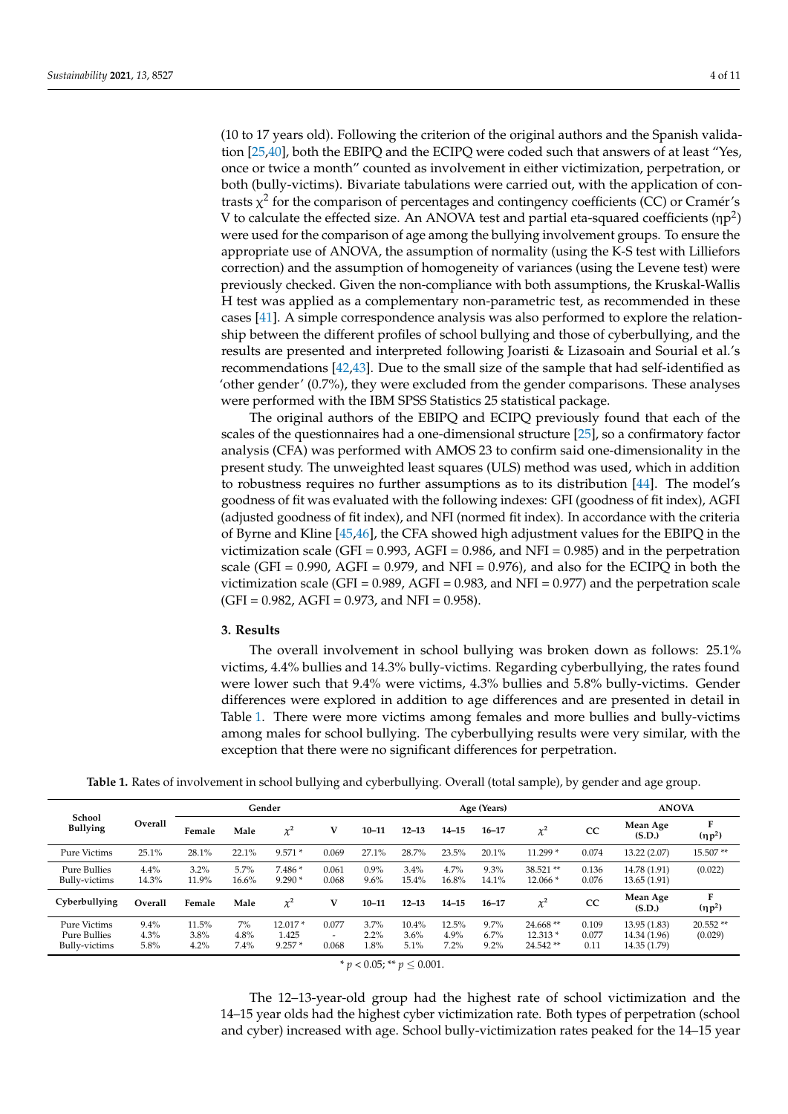(10 to 17 years old). Following the criterion of the original authors and the Spanish validation [\[25](#page-9-21)[,40\]](#page-10-9), both the EBIPQ and the ECIPQ were coded such that answers of at least "Yes, once or twice a month" counted as involvement in either victimization, perpetration, or both (bully-victims). Bivariate tabulations were carried out, with the application of contrasts  $\chi^2$  for the comparison of percentages and contingency coefficients (CC) or Cramér's V to calculate the effected size. An ANOVA test and partial eta-squared coefficients ( $np^2$ ) were used for the comparison of age among the bullying involvement groups. To ensure the appropriate use of ANOVA, the assumption of normality (using the K-S test with Lilliefors correction) and the assumption of homogeneity of variances (using the Levene test) were previously checked. Given the non-compliance with both assumptions, the Kruskal-Wallis H test was applied as a complementary non-parametric test, as recommended in these cases [\[41\]](#page-10-10). A simple correspondence analysis was also performed to explore the relationship between the different profiles of school bullying and those of cyberbullying, and the results are presented and interpreted following Joaristi & Lizasoain and Sourial et al.'s recommendations [\[42,](#page-10-11)[43\]](#page-10-12). Due to the small size of the sample that had self-identified as 'other gender' (0.7%), they were excluded from the gender comparisons. These analyses were performed with the IBM SPSS Statistics 25 statistical package.

The original authors of the EBIPQ and ECIPQ previously found that each of the scales of the questionnaires had a one-dimensional structure [\[25\]](#page-9-21), so a confirmatory factor analysis (CFA) was performed with AMOS 23 to confirm said one-dimensionality in the present study. The unweighted least squares (ULS) method was used, which in addition to robustness requires no further assumptions as to its distribution [\[44\]](#page-10-13). The model's goodness of fit was evaluated with the following indexes: GFI (goodness of fit index), AGFI (adjusted goodness of fit index), and NFI (normed fit index). In accordance with the criteria of Byrne and Kline [\[45,](#page-10-14)[46\]](#page-10-15), the CFA showed high adjustment values for the EBIPQ in the victimization scale (GFI =  $0.993$ , AGFI =  $0.986$ , and NFI =  $0.985$ ) and in the perpetration scale (GFI =  $0.990$ , AGFI =  $0.979$ , and NFI =  $0.976$ ), and also for the ECIPQ in both the victimization scale (GFI =  $0.989$ , AGFI =  $0.983$ , and NFI =  $0.977$ ) and the perpetration scale  $(GFI = 0.982, AGFI = 0.973, and NFI = 0.958).$ 

# **3. Results**

The overall involvement in school bullying was broken down as follows: 25.1% victims, 4.4% bullies and 14.3% bully-victims. Regarding cyberbullying, the rates found were lower such that 9.4% were victims, 4.3% bullies and 5.8% bully-victims. Gender differences were explored in addition to age differences and are presented in detail in Table [1.](#page-3-0) There were more victims among females and more bullies and bully-victims among males for school bullying. The cyberbullying results were very similar, with the exception that there were no significant differences for perpetration.

| Table 1. Rates of involvement in school bullying and cyberbullying. Overall (total sample), by gender and age group. |  |  |
|----------------------------------------------------------------------------------------------------------------------|--|--|
|                                                                                                                      |  |  |

<span id="page-3-0"></span>

|                                                      |                      |                       |                    | Gender                         |                          |                      |                          | Age (Years)           | <b>ANOVA</b>            |                                     |                        |                                              |                       |
|------------------------------------------------------|----------------------|-----------------------|--------------------|--------------------------------|--------------------------|----------------------|--------------------------|-----------------------|-------------------------|-------------------------------------|------------------------|----------------------------------------------|-----------------------|
| <b>School</b><br><b>Bullying</b>                     | Overall              | Female                | Male               | $\chi^2$                       | V                        | $10 - 11$            | $12 - 13$                | $14 - 15$             | $16 - 17$               | $\chi^2$                            | CC                     | Mean Age<br>(S.D.)                           | F<br>$(\eta p^2)$     |
| Pure Victims                                         | 25.1%                | 28.1%                 | 22.1%              | $9.571*$                       | 0.069                    | $27.1\%$             | 28.7%                    | 23.5%                 | 20.1%                   | $11.299*$                           | 0.074                  | 13.22 (2.07)                                 | $15.507**$            |
| <b>Pure Bullies</b><br><b>Bully-victims</b>          | 4.4%<br>14.3%        | 3.2%<br>11.9%         | 5.7%<br>16.6%      | $7.486*$<br>$9.290*$           | 0.061<br>0.068           | 0.9%<br>9.6%         | 3.4%<br>15.4%            | 4.7%<br>16.8%         | 9.3%<br>14.1%           | 38.521 **<br>$12.066*$              | 0.136<br>0.076         | 14.78 (1.91)<br>13.65(1.91)                  | (0.022)               |
| Cyberbullying                                        | Overall              | Female                | Male               | $\chi^2$                       | V                        | $10 - 11$            | $12 - 13$                | $14 - 15$             | $16 - 17$               | $\chi^2$                            | <sub>CC</sub>          | Mean Age<br>(S.D.)                           | F<br>$(\eta p^2)$     |
| Pure Victims<br><b>Pure Bullies</b><br>Bully-victims | 9.4%<br>4.3%<br>5.8% | 11.5%<br>3.8%<br>4.2% | 7%<br>4.8%<br>7.4% | $12.017*$<br>1.425<br>$9.257*$ | 0.077<br>$\sim$<br>0.068 | 3.7%<br>2.2%<br>1.8% | $10.4\%$<br>3.6%<br>5.1% | 12.5%<br>4.9%<br>7.2% | 9.7%<br>6.7%<br>$9.2\%$ | $24.668**$<br>$12.313*$<br>24.542** | 0.109<br>0.077<br>0.11 | 13.95 (1.83)<br>14.34 (1.96)<br>14.35 (1.79) | $20.552**$<br>(0.029) |
|                                                      |                      |                       |                    |                                |                          | ____                 | .                        |                       |                         |                                     |                        |                                              |                       |

 $* p < 0.05$ ; \*\*  $p \leq 0.001$ .

The 12–13-year-old group had the highest rate of school victimization and the 14–15 year olds had the highest cyber victimization rate. Both types of perpetration (school and cyber) increased with age. School bully-victimization rates peaked for the 14–15 year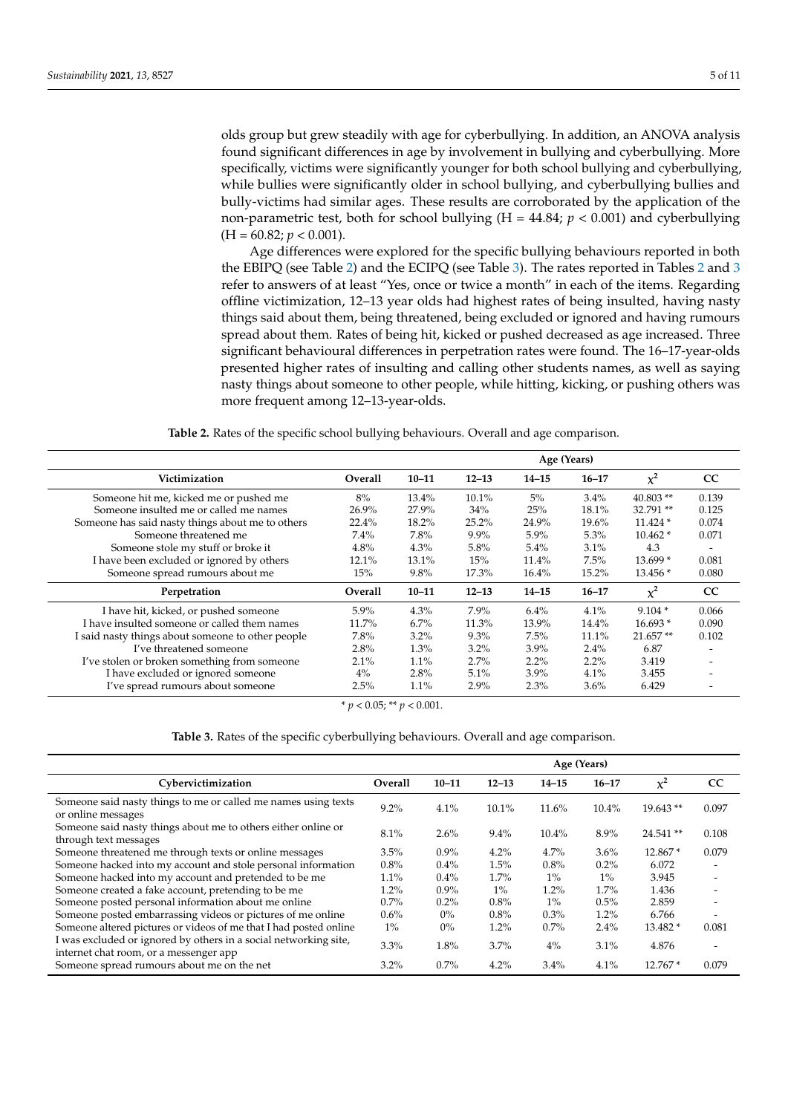olds group but grew steadily with age for cyberbullying. In addition, an ANOVA analysis found significant differences in age by involvement in bullying and cyberbullying. More specifically, victims were significantly younger for both school bullying and cyberbullying, while bullies were significantly older in school bullying, and cyberbullying bullies and bully-victims had similar ages. These results are corroborated by the application of the non-parametric test, both for school bullying  $(H = 44.84; p < 0.001)$  and cyberbullying  $(H = 60.82; p < 0.001).$ 

Age differences were explored for the specific bullying behaviours reported in both the EBIPQ (see Table [2\)](#page-4-0) and the ECIPQ (see Table [3\)](#page-5-0). The rates reported in Tables [2](#page-4-0) and [3](#page-5-0) refer to answers of at least "Yes, once or twice a month" in each of the items. Regarding offline victimization, 12–13 year olds had highest rates of being insulted, having nasty things said about them, being threatened, being excluded or ignored and having rumours spread about them. Rates of being hit, kicked or pushed decreased as age increased. Three significant behavioural differences in perpetration rates were found. The 16–17-year-olds presented higher rates of insulting and calling other students names, as well as saying nasty things about someone to other people, while hitting, kicking, or pushing others was more frequent among 12–13-year-olds.

**Table 2.** Rates of the specific school bullying behaviours. Overall and age comparison.

<span id="page-4-0"></span>

|                                                   |         | Age (Years) |           |           |           |            |                          |  |  |
|---------------------------------------------------|---------|-------------|-----------|-----------|-----------|------------|--------------------------|--|--|
| Victimization                                     | Overall | $10 - 11$   | $12 - 13$ | $14 - 15$ | $16 - 17$ | $x^2$      | cc                       |  |  |
| Someone hit me, kicked me or pushed me            | 8%      | 13.4%       | $10.1\%$  | 5%        | $3.4\%$   | $40.803**$ | 0.139                    |  |  |
| Someone insulted me or called me names            | 26.9%   | 27.9%       | 34%       | 25%       | $18.1\%$  | 32.791**   | 0.125                    |  |  |
| Someone has said nasty things about me to others  | 22.4%   | 18.2%       | 25.2%     | 24.9%     | 19.6%     | $11.424*$  | 0.074                    |  |  |
| Someone threatened me                             | 7.4%    | 7.8%        | $9.9\%$   | $5.9\%$   | 5.3%      | $10.462*$  | 0.071                    |  |  |
| Someone stole my stuff or broke it                | 4.8%    | 4.3%        | 5.8%      | 5.4%      | 3.1%      | 4.3        | $\overline{\phantom{a}}$ |  |  |
| I have been excluded or ignored by others         | 12.1%   | 13.1%       | 15%       | 11.4%     | 7.5%      | $13.699*$  | 0.081                    |  |  |
| Someone spread rumours about me                   | 15%     | 9.8%        | 17.3%     | 16.4%     | 15.2%     | $13.456*$  | 0.080                    |  |  |
| Perpetration                                      | Overall | $10 - 11$   | $12 - 13$ | $14 - 15$ | $16 - 17$ | $\chi^2$   | cc                       |  |  |
| I have hit, kicked, or pushed someone             | 5.9%    | 4.3%        | 7.9%      | 6.4%      | 4.1%      | $9.104*$   | 0.066                    |  |  |
| I have insulted someone or called them names      | 11.7%   | 6.7%        | 11.3%     | 13.9%     | 14.4%     | $16.693*$  | 0.090                    |  |  |
| I said nasty things about someone to other people | 7.8%    | 3.2%        | 9.3%      | 7.5%      | $11.1\%$  | $21.657**$ | 0.102                    |  |  |
| I've threatened someone                           | 2.8%    | 1.3%        | $3.2\%$   | $3.9\%$   | $2.4\%$   | 6.87       |                          |  |  |
| I've stolen or broken something from someone      | 2.1%    | 1.1%        | 2.7%      | $2.2\%$   | $2.2\%$   | 3.419      |                          |  |  |
| I have excluded or ignored someone                | 4%      | 2.8%        | 5.1%      | 3.9%      | 4.1%      | 3.455      |                          |  |  |
| I've spread rumours about someone                 | 2.5%    | 1.1%        | 2.9%      | $2.3\%$   | $3.6\%$   | 6.429      |                          |  |  |

 $* p < 0.05$ ; \*\*  $p < 0.001$ .

**Table 3.** Rates of the specific cyberbullying behaviours. Overall and age comparison.

|                                                                                                            |         | Age (Years) |           |           |           |            |                          |  |  |
|------------------------------------------------------------------------------------------------------------|---------|-------------|-----------|-----------|-----------|------------|--------------------------|--|--|
| Cybervictimization                                                                                         | Overall | $10 - 11$   | $12 - 13$ | $14 - 15$ | $16 - 17$ | $\chi^2$   | cc                       |  |  |
| Someone said nasty things to me or called me names using texts<br>or online messages                       | $9.2\%$ | 4.1%        | 10.1%     | 11.6%     | 10.4%     | $19.643**$ | 0.097                    |  |  |
| Someone said nasty things about me to others either online or<br>through text messages                     | 8.1%    | 2.6%        | 9.4%      | 10.4%     | 8.9%      | 24.541**   | 0.108                    |  |  |
| Someone threatened me through texts or online messages                                                     | 3.5%    | $0.9\%$     | 4.2%      | 4.7%      | 3.6%      | 12.867 *   | 0.079                    |  |  |
| Someone hacked into my account and stole personal information                                              | 0.8%    | 0.4%        | 1.5%      | 0.8%      | $0.2\%$   | 6.072      | $\overline{\phantom{0}}$ |  |  |
| Someone hacked into my account and pretended to be me                                                      | 1.1%    | 0.4%        | 1.7%      | $1\%$     | $1\%$     | 3.945      |                          |  |  |
| Someone created a fake account, pretending to be me                                                        | 1.2%    | $0.9\%$     | $1\%$     | 1.2%      | 1.7%      | 1.436      |                          |  |  |
| Someone posted personal information about me online                                                        | $0.7\%$ | 0.2%        | 0.8%      | $1\%$     | 0.5%      | 2.859      | $\overline{\phantom{0}}$ |  |  |
| Someone posted embarrassing videos or pictures of me online                                                | $0.6\%$ | $0\%$       | 0.8%      | 0.3%      | 1.2%      | 6.766      | $\overline{\phantom{0}}$ |  |  |
| Someone altered pictures or videos of me that I had posted online                                          | $1\%$   | $0\%$       | 1.2%      | 0.7%      | 2.4%      | 13.482 *   | 0.081                    |  |  |
| I was excluded or ignored by others in a social networking site,<br>internet chat room, or a messenger app | 3.3%    | 1.8%        | 3.7%      | $4\%$     | 3.1%      | 4.876      | $\overline{\phantom{0}}$ |  |  |
| Someone spread rumours about me on the net                                                                 | $3.2\%$ | 0.7%        | 4.2%      | 3.4%      | 4.1%      | $12.767*$  | 0.079                    |  |  |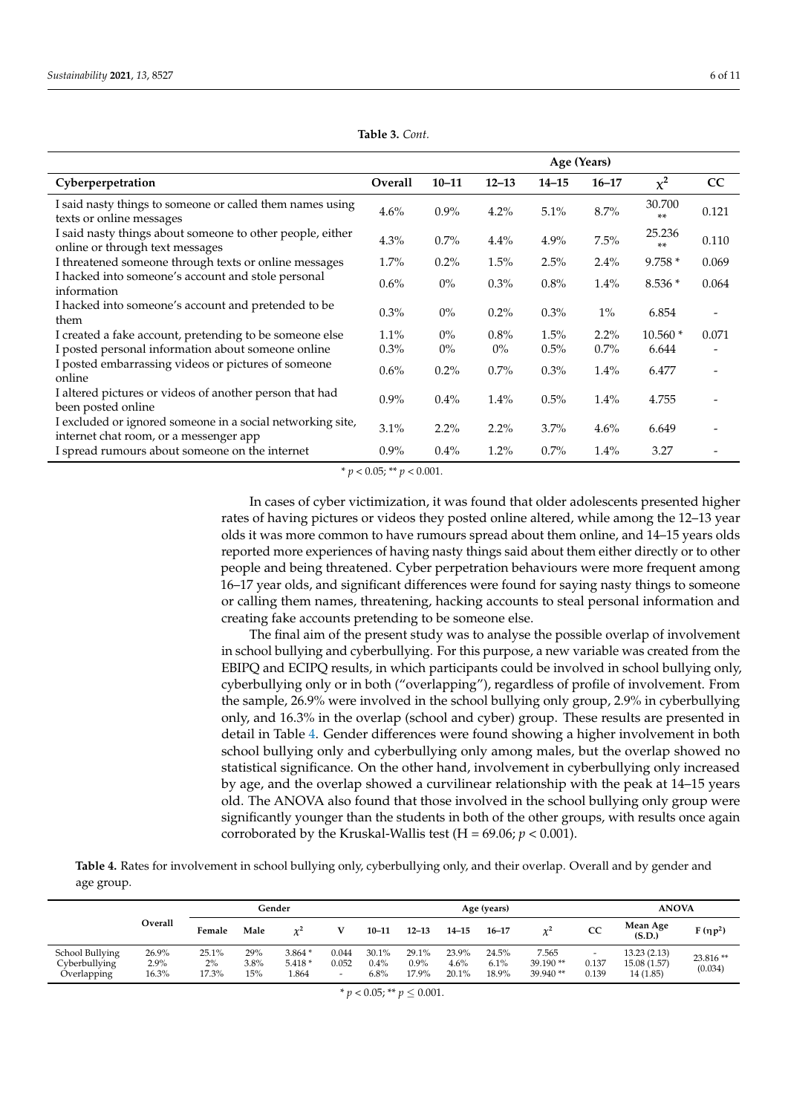<span id="page-5-0"></span>

|                                                                                                      |         | Age (Years) |           |           |           |                 |                              |  |  |
|------------------------------------------------------------------------------------------------------|---------|-------------|-----------|-----------|-----------|-----------------|------------------------------|--|--|
| Cyberperpetration                                                                                    | Overall | $10 - 11$   | $12 - 13$ | $14 - 15$ | $16 - 17$ | $\chi^2$        | CC                           |  |  |
| I said nasty things to someone or called them names using<br>texts or online messages                | 4.6%    | $0.9\%$     | $4.2\%$   | 5.1%      | 8.7%      | 30.700<br>$***$ | 0.121                        |  |  |
| I said nasty things about someone to other people, either<br>online or through text messages         | 4.3%    | $0.7\%$     | 4.4%      | 4.9%      | 7.5%      | 25.236<br>$***$ | 0.110                        |  |  |
| I threatened someone through texts or online messages                                                | $1.7\%$ | $0.2\%$     | 1.5%      | 2.5%      | 2.4%      | $9.758*$        | 0.069                        |  |  |
| I hacked into someone's account and stole personal<br>information                                    | 0.6%    | $0\%$       | $0.3\%$   | 0.8%      | 1.4%      | $8.536*$        | 0.064                        |  |  |
| I hacked into someone's account and pretended to be<br>them                                          | $0.3\%$ | $0\%$       | $0.2\%$   | $0.3\%$   | $1\%$     | 6.854           | $\overline{\phantom{0}}$     |  |  |
| I created a fake account, pretending to be someone else                                              | $1.1\%$ | $0\%$       | $0.8\%$   | 1.5%      | 2.2%      | $10.560*$       | 0.071                        |  |  |
| I posted personal information about someone online                                                   | $0.3\%$ | $0\%$       | $0\%$     | 0.5%      | 0.7%      | 6.644           | $\qquad \qquad \blacksquare$ |  |  |
| I posted embarrassing videos or pictures of someone<br>online                                        | $0.6\%$ | $0.2\%$     | $0.7\%$   | $0.3\%$   | 1.4%      | 6.477           |                              |  |  |
| I altered pictures or videos of another person that had<br>been posted online                        | $0.9\%$ | $0.4\%$     | $1.4\%$   | 0.5%      | 1.4%      | 4.755           |                              |  |  |
| I excluded or ignored someone in a social networking site,<br>internet chat room, or a messenger app | 3.1%    | $2.2\%$     | $2.2\%$   | 3.7%      | 4.6%      | 6.649           |                              |  |  |
| I spread rumours about someone on the internet                                                       | $0.9\%$ | $0.4\%$     | $1.2\%$   | $0.7\%$   | 1.4%      | 3.27            |                              |  |  |

**Table 3.** *Cont.*

 $* p < 0.05; ** p < 0.001.$ 

In cases of cyber victimization, it was found that older adolescents presented higher rates of having pictures or videos they posted online altered, while among the 12–13 year olds it was more common to have rumours spread about them online, and 14–15 years olds reported more experiences of having nasty things said about them either directly or to other people and being threatened. Cyber perpetration behaviours were more frequent among 16–17 year olds, and significant differences were found for saying nasty things to someone or calling them names, threatening, hacking accounts to steal personal information and creating fake accounts pretending to be someone else.

The final aim of the present study was to analyse the possible overlap of involvement in school bullying and cyberbullying. For this purpose, a new variable was created from the EBIPQ and ECIPQ results, in which participants could be involved in school bullying only, cyberbullying only or in both ("overlapping"), regardless of profile of involvement. From the sample, 26.9% were involved in the school bullying only group, 2.9% in cyberbullying only, and 16.3% in the overlap (school and cyber) group. These results are presented in detail in Table [4.](#page-5-1) Gender differences were found showing a higher involvement in both school bullying only and cyberbullying only among males, but the overlap showed no statistical significance. On the other hand, involvement in cyberbullying only increased by age, and the overlap showed a curvilinear relationship with the peak at 14–15 years old. The ANOVA also found that those involved in the school bullying only group were significantly younger than the students in both of the other groups, with results once again corroborated by the Kruskal-Wallis test  $(H = 69.06; p < 0.001)$ .

<span id="page-5-1"></span>**Table 4.** Rates for involvement in school bullying only, cyberbullying only, and their overlap. Overall and by gender and age group.

|                                                 |                           | Gender               |                    |                              |                          |                          | Age (years)               |                        |                        |                                 |                          |                                          | <b>ANOVA</b>        |  |  |
|-------------------------------------------------|---------------------------|----------------------|--------------------|------------------------------|--------------------------|--------------------------|---------------------------|------------------------|------------------------|---------------------------------|--------------------------|------------------------------------------|---------------------|--|--|
|                                                 | Overall                   | Female               | Male               | $\gamma^2$                   |                          | $10 - 11$                | $12 - 13$                 | $14 - 15$              | $16 - 17$              | $\chi^2$                        | CC                       | Mean Age<br>(S.D.)                       | $F(\eta p^2)$       |  |  |
| School Bullying<br>Cyberbullying<br>Overlapping | 26.9%<br>$2.9\%$<br>16.3% | 25.1%<br>2%<br>17.3% | 29%<br>3.8%<br>15% | $3.864*$<br>$5.418*$<br>.864 | 0.044<br>0.052<br>$\sim$ | 30.1%<br>$0.4\%$<br>6.8% | 29.1%<br>$0.9\%$<br>17.9% | 23.9%<br>4.6%<br>20.1% | 24.5%<br>6.1%<br>18.9% | 7.565<br>$39.190**$<br>39.940** | $\sim$<br>0.137<br>0.139 | 13.23 (2.13)<br>15.08 (1.57)<br>14(1.85) | 23.816**<br>(0.034) |  |  |

 $* p < 0.05; ** p \leq 0.001.$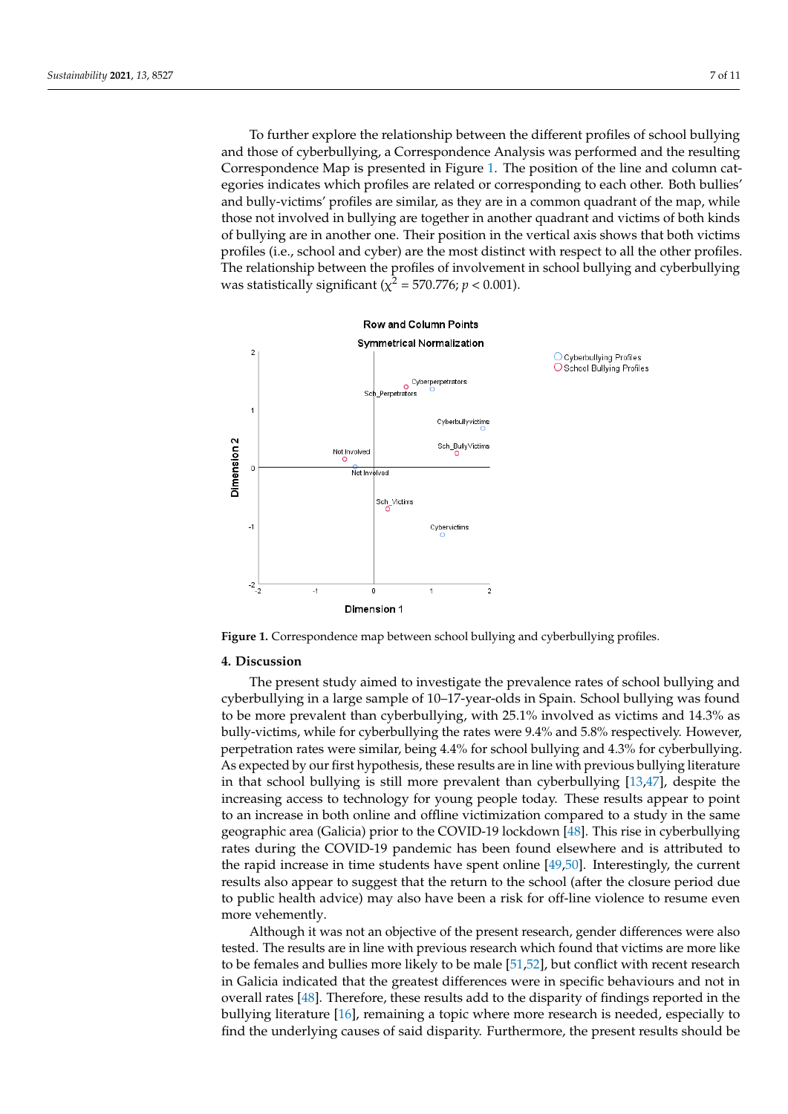To further explore the relationship between the different profiles of school bullying To further explore the relationship between the different profiles of school bullying and those of cyberbullying, a Correspondence Analysis was performed and the resulting and those of cyberbullying, a Correspondence Analysis was performed and the resulting Correspondence Map is presented in Figure 1. The position of the line and column cat-Correspondence Map is presented in Figure [1.](#page-6-0) The position of the line and column cateegories indicates which profiles are related or corresponding to each other. Both bullies' gories indicates which profiles are related or corresponding to each other. Both bullies' and bully-victims' profiles are similar, as they are in a common quadrant of the map, while and bully-victims' profiles are similar, as they are in a common quadrant of the map, while those not involved in bullying are together in another quadrant and victims of both kinds those not involved in bullying are together in another quadrant and victims of both kinds of bullying are in another one. Their position in the vertical axis shows that both victims of bullying are in another one. Their position in the vertical axis shows that both victims profiles (i.e., school and cyber) are the most distinct with respect to all the other profiles. profiles (i.e., school and cyber) are the most distinct with respect to all the other profiles. The relationship between the profiles of involvement in school bullying and cyberbullying The relationship between the profiles of involvement in school bullying and cyberbullying was statistically significant ( $\chi^2$  = 570.776; *p* < 0.001).

Overlapping 16.3% 17.3% 15% 1.864 - 6.8% 17.9% 20.1% 18.9% 39.940 \*\* 0.139 14 (1.85)

<span id="page-6-0"></span>

**Figure 1.** Correspondence map between school bullying and cyberbullying profiles. **Figure 1.** Correspondence map between school bullying and cyberbullying profiles.

#### **4. Discussion 4. Discussion**

cyberbullying in a large sample of 10–17-year-olds in Spain. School bullying was found to be more prevalent than cyberbullying, with 25.1% involved as victims and 14.3% as bully-victims, while for cyberbullying the rates were 9.4% and 5.8% respectively. However, perpetration rates were similar, being 4.4% for school bullying and 4.3% for cyberbullying. As expected by our first hypothesis, these results are in line with previous bullying literature in that school bullying is still more prevalent than cyberbullying [\[13](#page-9-9)[,47\]](#page-10-16), despite the increasing access to technology for young people today. These results appear to point to an increase in both online and offline victimization compared to a study in the same The present study aimed to investigate the prevalence rates of school bullying and geographic area (Galicia) prior to the COVID-19 lockdown [\[48\]](#page-10-17). This rise in cyberbullying rates during the COVID-19 pandemic has been found elsewhere and is attributed to the rapid increase in time students have spent online [\[49,](#page-10-18)[50\]](#page-10-19). Interestingly, the current results also appear to suggest that the return to the school (after the closure period due to public health advice) may also have been a risk for off-line violence to resume even more vehemently.

Although it was not an objective of the present research, gender differences were also tested. The results are in line with previous research which found that victims are more like to be females and bullies more likely to be male [\[51](#page-10-20)[,52\]](#page-10-21), but conflict with recent research in Galicia indicated that the greatest differences were in specific behaviours and not in overall rates [\[48\]](#page-10-17). Therefore, these results add to the disparity of findings reported in the bullying literature [\[16\]](#page-9-12), remaining a topic where more research is needed, especially to find the underlying causes of said disparity. Furthermore, the present results should be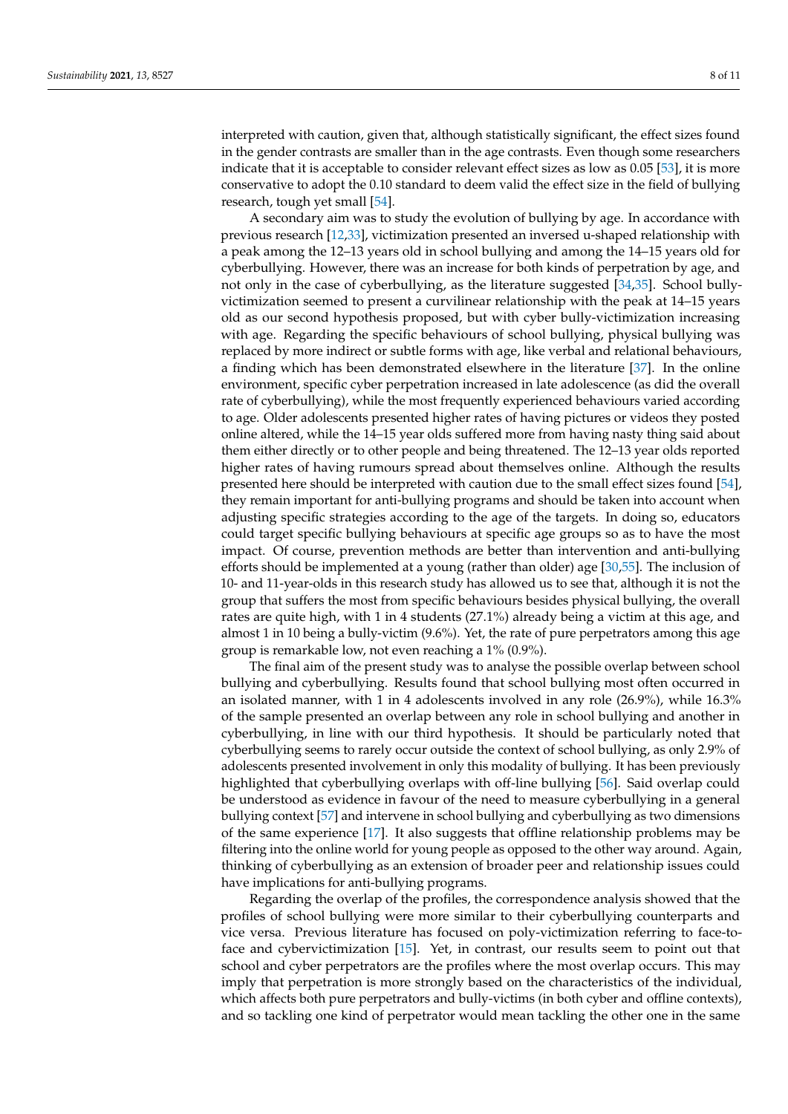interpreted with caution, given that, although statistically significant, the effect sizes found in the gender contrasts are smaller than in the age contrasts. Even though some researchers indicate that it is acceptable to consider relevant effect sizes as low as 0.05 [\[53\]](#page-10-22), it is more conservative to adopt the 0.10 standard to deem valid the effect size in the field of bullying research, tough yet small [\[54\]](#page-10-23).

A secondary aim was to study the evolution of bullying by age. In accordance with previous research [\[12,](#page-9-8)[33\]](#page-10-2), victimization presented an inversed u-shaped relationship with a peak among the 12–13 years old in school bullying and among the 14–15 years old for cyberbullying. However, there was an increase for both kinds of perpetration by age, and not only in the case of cyberbullying, as the literature suggested [\[34](#page-10-3)[,35\]](#page-10-4). School bullyvictimization seemed to present a curvilinear relationship with the peak at 14–15 years old as our second hypothesis proposed, but with cyber bully-victimization increasing with age. Regarding the specific behaviours of school bullying, physical bullying was replaced by more indirect or subtle forms with age, like verbal and relational behaviours, a finding which has been demonstrated elsewhere in the literature [\[37\]](#page-10-6). In the online environment, specific cyber perpetration increased in late adolescence (as did the overall rate of cyberbullying), while the most frequently experienced behaviours varied according to age. Older adolescents presented higher rates of having pictures or videos they posted online altered, while the 14–15 year olds suffered more from having nasty thing said about them either directly or to other people and being threatened. The 12–13 year olds reported higher rates of having rumours spread about themselves online. Although the results presented here should be interpreted with caution due to the small effect sizes found [\[54\]](#page-10-23), they remain important for anti-bullying programs and should be taken into account when adjusting specific strategies according to the age of the targets. In doing so, educators could target specific bullying behaviours at specific age groups so as to have the most impact. Of course, prevention methods are better than intervention and anti-bullying efforts should be implemented at a young (rather than older) age [\[30](#page-9-24)[,55\]](#page-10-24). The inclusion of 10- and 11-year-olds in this research study has allowed us to see that, although it is not the group that suffers the most from specific behaviours besides physical bullying, the overall rates are quite high, with 1 in 4 students (27.1%) already being a victim at this age, and almost 1 in 10 being a bully-victim (9.6%). Yet, the rate of pure perpetrators among this age group is remarkable low, not even reaching a 1% (0.9%).

The final aim of the present study was to analyse the possible overlap between school bullying and cyberbullying. Results found that school bullying most often occurred in an isolated manner, with 1 in 4 adolescents involved in any role (26.9%), while 16.3% of the sample presented an overlap between any role in school bullying and another in cyberbullying, in line with our third hypothesis. It should be particularly noted that cyberbullying seems to rarely occur outside the context of school bullying, as only 2.9% of adolescents presented involvement in only this modality of bullying. It has been previously highlighted that cyberbullying overlaps with off-line bullying [\[56\]](#page-10-25). Said overlap could be understood as evidence in favour of the need to measure cyberbullying in a general bullying context [\[57\]](#page-10-26) and intervene in school bullying and cyberbullying as two dimensions of the same experience [\[17\]](#page-9-13). It also suggests that offline relationship problems may be filtering into the online world for young people as opposed to the other way around. Again, thinking of cyberbullying as an extension of broader peer and relationship issues could have implications for anti-bullying programs.

Regarding the overlap of the profiles, the correspondence analysis showed that the profiles of school bullying were more similar to their cyberbullying counterparts and vice versa. Previous literature has focused on poly-victimization referring to face-toface and cybervictimization [\[15\]](#page-9-11). Yet, in contrast, our results seem to point out that school and cyber perpetrators are the profiles where the most overlap occurs. This may imply that perpetration is more strongly based on the characteristics of the individual, which affects both pure perpetrators and bully-victims (in both cyber and offline contexts), and so tackling one kind of perpetrator would mean tackling the other one in the same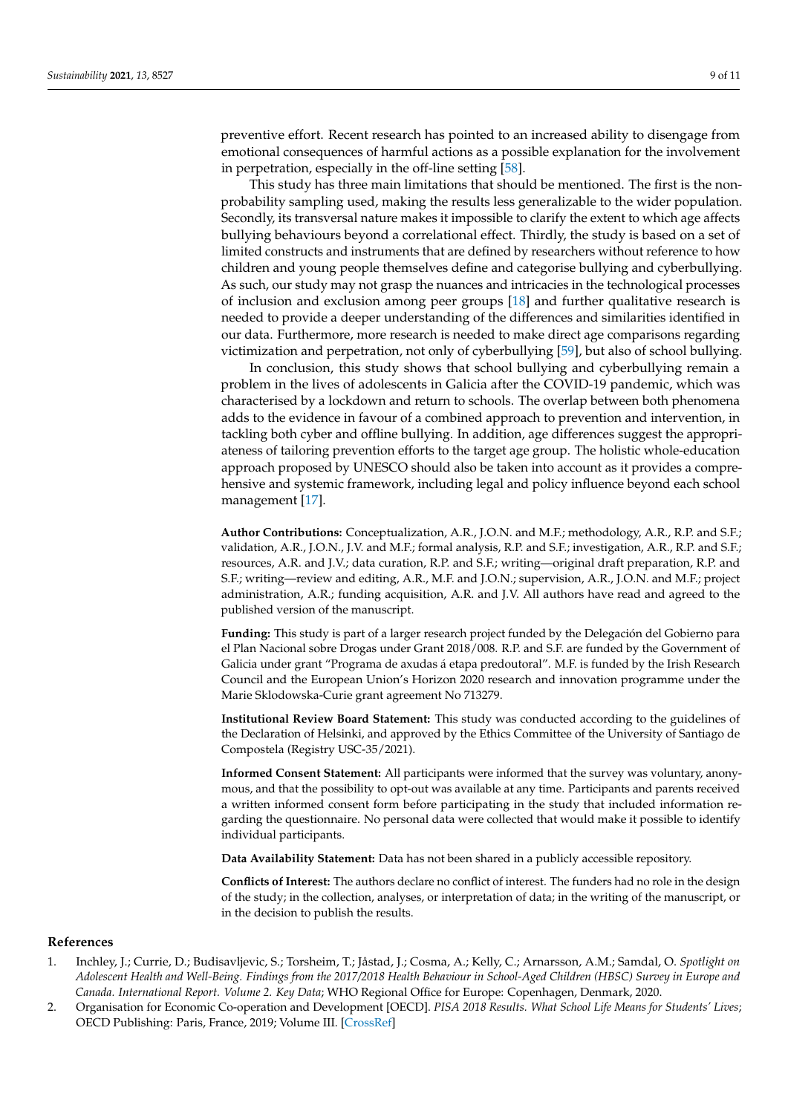preventive effort. Recent research has pointed to an increased ability to disengage from emotional consequences of harmful actions as a possible explanation for the involvement in perpetration, especially in the off-line setting [\[58\]](#page-10-27).

This study has three main limitations that should be mentioned. The first is the nonprobability sampling used, making the results less generalizable to the wider population. Secondly, its transversal nature makes it impossible to clarify the extent to which age affects bullying behaviours beyond a correlational effect. Thirdly, the study is based on a set of limited constructs and instruments that are defined by researchers without reference to how children and young people themselves define and categorise bullying and cyberbullying. As such, our study may not grasp the nuances and intricacies in the technological processes of inclusion and exclusion among peer groups [\[18\]](#page-9-14) and further qualitative research is needed to provide a deeper understanding of the differences and similarities identified in our data. Furthermore, more research is needed to make direct age comparisons regarding victimization and perpetration, not only of cyberbullying [\[59\]](#page-10-28), but also of school bullying.

In conclusion, this study shows that school bullying and cyberbullying remain a problem in the lives of adolescents in Galicia after the COVID-19 pandemic, which was characterised by a lockdown and return to schools. The overlap between both phenomena adds to the evidence in favour of a combined approach to prevention and intervention, in tackling both cyber and offline bullying. In addition, age differences suggest the appropriateness of tailoring prevention efforts to the target age group. The holistic whole-education approach proposed by UNESCO should also be taken into account as it provides a comprehensive and systemic framework, including legal and policy influence beyond each school management [\[17\]](#page-9-13).

**Author Contributions:** Conceptualization, A.R., J.O.N. and M.F.; methodology, A.R., R.P. and S.F.; validation, A.R., J.O.N., J.V. and M.F.; formal analysis, R.P. and S.F.; investigation, A.R., R.P. and S.F.; resources, A.R. and J.V.; data curation, R.P. and S.F.; writing—original draft preparation, R.P. and S.F.; writing—review and editing, A.R., M.F. and J.O.N.; supervision, A.R., J.O.N. and M.F.; project administration, A.R.; funding acquisition, A.R. and J.V. All authors have read and agreed to the published version of the manuscript.

**Funding:** This study is part of a larger research project funded by the Delegación del Gobierno para el Plan Nacional sobre Drogas under Grant 2018/008. R.P. and S.F. are funded by the Government of Galicia under grant "Programa de axudas á etapa predoutoral". M.F. is funded by the Irish Research Council and the European Union's Horizon 2020 research and innovation programme under the Marie Sklodowska-Curie grant agreement No 713279.

**Institutional Review Board Statement:** This study was conducted according to the guidelines of the Declaration of Helsinki, and approved by the Ethics Committee of the University of Santiago de Compostela (Registry USC-35/2021).

**Informed Consent Statement:** All participants were informed that the survey was voluntary, anonymous, and that the possibility to opt-out was available at any time. Participants and parents received a written informed consent form before participating in the study that included information regarding the questionnaire. No personal data were collected that would make it possible to identify individual participants.

**Data Availability Statement:** Data has not been shared in a publicly accessible repository.

**Conflicts of Interest:** The authors declare no conflict of interest. The funders had no role in the design of the study; in the collection, analyses, or interpretation of data; in the writing of the manuscript, or in the decision to publish the results.

#### **References**

- <span id="page-8-0"></span>1. Inchley, J.; Currie, D.; Budisavljevic, S.; Torsheim, T.; Jåstad, J.; Cosma, A.; Kelly, C.; Arnarsson, A.M.; Samdal, O. *Spotlight on Adolescent Health and Well-Being. Findings from the 2017/2018 Health Behaviour in School-Aged Children (HBSC) Survey in Europe and Canada. International Report. Volume 2. Key Data*; WHO Regional Office for Europe: Copenhagen, Denmark, 2020.
- 2. Organisation for Economic Co-operation and Development [OECD]. *PISA 2018 Results. What School Life Means for Students' Lives*; OECD Publishing: Paris, France, 2019; Volume III. [\[CrossRef\]](http://doi.org/10.1787/acd78851-en)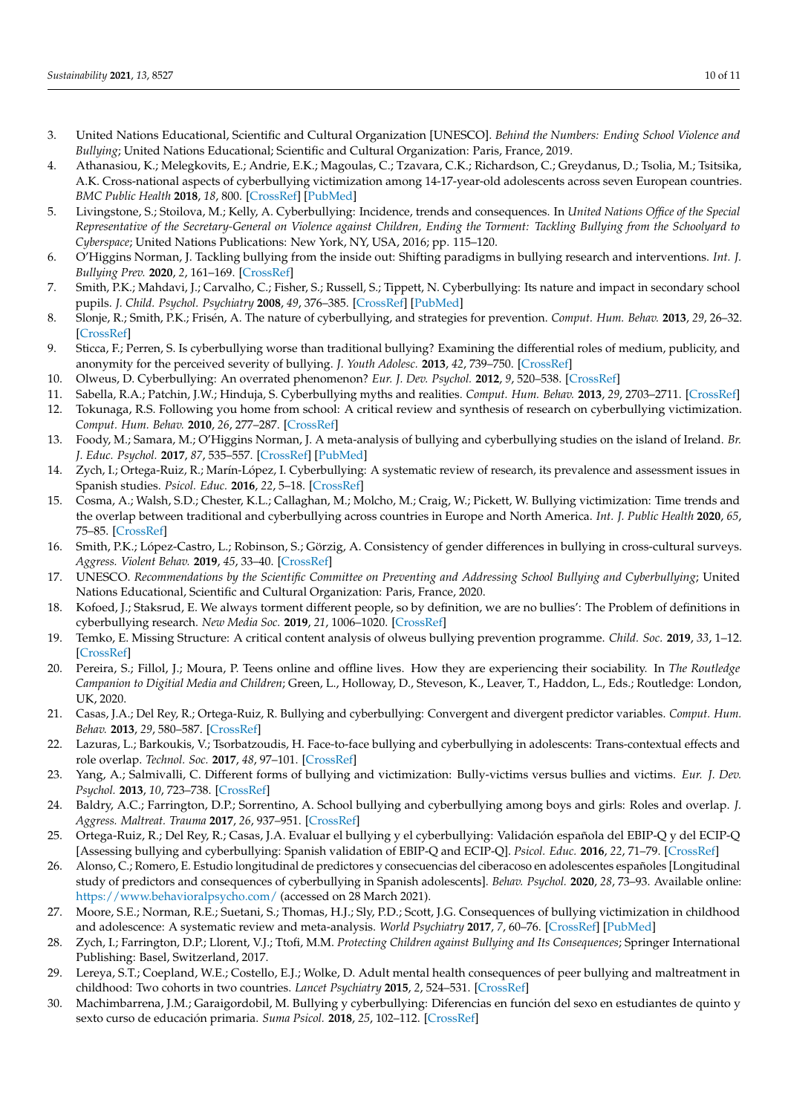- <span id="page-9-0"></span>3. United Nations Educational, Scientific and Cultural Organization [UNESCO]. *Behind the Numbers: Ending School Violence and Bullying*; United Nations Educational; Scientific and Cultural Organization: Paris, France, 2019.
- <span id="page-9-1"></span>4. Athanasiou, K.; Melegkovits, E.; Andrie, E.K.; Magoulas, C.; Tzavara, C.K.; Richardson, C.; Greydanus, D.; Tsolia, M.; Tsitsika, A.K. Cross-national aspects of cyberbullying victimization among 14-17-year-old adolescents across seven European countries. *BMC Public Health* **2018**, *18*, 800. [\[CrossRef\]](http://doi.org/10.1186/s12889-018-5682-4) [\[PubMed\]](http://www.ncbi.nlm.nih.gov/pubmed/29986687)
- 5. Livingstone, S.; Stoilova, M.; Kelly, A. Cyberbullying: Incidence, trends and consequences. In *United Nations Office of the Special Representative of the Secretary-General on Violence against Children, Ending the Torment: Tackling Bullying from the Schoolyard to Cyberspace*; United Nations Publications: New York, NY, USA, 2016; pp. 115–120.
- <span id="page-9-2"></span>6. O'Higgins Norman, J. Tackling bullying from the inside out: Shifting paradigms in bullying research and interventions. *Int. J. Bullying Prev.* **2020**, *2*, 161–169. [\[CrossRef\]](http://doi.org/10.1007/s42380-020-00076-1)
- <span id="page-9-3"></span>7. Smith, P.K.; Mahdavi, J.; Carvalho, C.; Fisher, S.; Russell, S.; Tippett, N. Cyberbullying: Its nature and impact in secondary school pupils. *J. Child. Psychol. Psychiatry* **2008**, *49*, 376–385. [\[CrossRef\]](http://doi.org/10.1111/j.1469-7610.2007.01846.x) [\[PubMed\]](http://www.ncbi.nlm.nih.gov/pubmed/18363945)
- <span id="page-9-4"></span>8. Slonje, R.; Smith, P.K.; Frisén, A. The nature of cyberbullying, and strategies for prevention. *Comput. Hum. Behav.* **2013**, *29*, 26–32. [\[CrossRef\]](http://doi.org/10.1016/j.chb.2012.05.024)
- <span id="page-9-5"></span>9. Sticca, F.; Perren, S. Is cyberbullying worse than traditional bullying? Examining the differential roles of medium, publicity, and anonymity for the perceived severity of bullying. *J. Youth Adolesc.* **2013**, *42*, 739–750. [\[CrossRef\]](http://doi.org/10.1007/s10964-012-9867-3)
- <span id="page-9-6"></span>10. Olweus, D. Cyberbullying: An overrated phenomenon? *Eur. J. Dev. Psychol.* **2012**, *9*, 520–538. [\[CrossRef\]](http://doi.org/10.1080/17405629.2012.682358)
- <span id="page-9-7"></span>11. Sabella, R.A.; Patchin, J.W.; Hinduja, S. Cyberbullying myths and realities. *Comput. Hum. Behav.* **2013**, *29*, 2703–2711. [\[CrossRef\]](http://doi.org/10.1016/j.chb.2013.06.040)
- <span id="page-9-8"></span>12. Tokunaga, R.S. Following you home from school: A critical review and synthesis of research on cyberbullying victimization. *Comput. Hum. Behav.* **2010**, *26*, 277–287. [\[CrossRef\]](http://doi.org/10.1016/j.chb.2009.11.014)
- <span id="page-9-9"></span>13. Foody, M.; Samara, M.; O'Higgins Norman, J. A meta-analysis of bullying and cyberbullying studies on the island of Ireland. *Br. J. Educ. Psychol.* **2017**, *87*, 535–557. [\[CrossRef\]](http://doi.org/10.1111/bjep.12163) [\[PubMed\]](http://www.ncbi.nlm.nih.gov/pubmed/28555753)
- <span id="page-9-10"></span>14. Zych, I.; Ortega-Ruiz, R.; Marín-López, I. Cyberbullying: A systematic review of research, its prevalence and assessment issues in Spanish studies. *Psicol. Educ.* **2016**, *22*, 5–18. [\[CrossRef\]](http://doi.org/10.1016/j.pse.2016.03.002)
- <span id="page-9-11"></span>15. Cosma, A.; Walsh, S.D.; Chester, K.L.; Callaghan, M.; Molcho, M.; Craig, W.; Pickett, W. Bullying victimization: Time trends and the overlap between traditional and cyberbullying across countries in Europe and North America. *Int. J. Public Health* **2020**, *65*, 75–85. [\[CrossRef\]](http://doi.org/10.1007/s00038-019-01320-2)
- <span id="page-9-12"></span>16. Smith, P.K.; López-Castro, L.; Robinson, S.; Görzig, A. Consistency of gender differences in bullying in cross-cultural surveys. *Aggress. Violent Behav.* **2019**, *45*, 33–40. [\[CrossRef\]](http://doi.org/10.1016/j.avb.2018.04.006)
- <span id="page-9-13"></span>17. UNESCO. *Recommendations by the Scientific Committee on Preventing and Addressing School Bullying and Cyberbullying*; United Nations Educational, Scientific and Cultural Organization: Paris, France, 2020.
- <span id="page-9-14"></span>18. Kofoed, J.; Staksrud, E. We always torment different people, so by definition, we are no bullies': The Problem of definitions in cyberbullying research. *New Media Soc.* **2019**, *21*, 1006–1020. [\[CrossRef\]](http://doi.org/10.1177/1461444818810026)
- <span id="page-9-15"></span>19. Temko, E. Missing Structure: A critical content analysis of olweus bullying prevention programme. *Child. Soc.* **2019**, *33*, 1–12. [\[CrossRef\]](http://doi.org/10.1111/chso.12280)
- <span id="page-9-16"></span>20. Pereira, S.; Fillol, J.; Moura, P. Teens online and offline lives. How they are experiencing their sociability. In *The Routledge Campanion to Digitial Media and Children*; Green, L., Holloway, D., Steveson, K., Leaver, T., Haddon, L., Eds.; Routledge: London, UK, 2020.
- <span id="page-9-17"></span>21. Casas, J.A.; Del Rey, R.; Ortega-Ruiz, R. Bullying and cyberbullying: Convergent and divergent predictor variables. *Comput. Hum. Behav.* **2013**, *29*, 580–587. [\[CrossRef\]](http://doi.org/10.1016/j.chb.2012.11.015)
- <span id="page-9-18"></span>22. Lazuras, L.; Barkoukis, V.; Tsorbatzoudis, H. Face-to-face bullying and cyberbullying in adolescents: Trans-contextual effects and role overlap. *Technol. Soc.* **2017**, *48*, 97–101. [\[CrossRef\]](http://doi.org/10.1016/j.techsoc.2016.12.001)
- <span id="page-9-19"></span>23. Yang, A.; Salmivalli, C. Different forms of bullying and victimization: Bully-victims versus bullies and victims. *Eur. J. Dev. Psychol.* **2013**, *10*, 723–738. [\[CrossRef\]](http://doi.org/10.1080/17405629.2013.793596)
- <span id="page-9-20"></span>24. Baldry, A.C.; Farrington, D.P.; Sorrentino, A. School bullying and cyberbullying among boys and girls: Roles and overlap. *J. Aggress. Maltreat. Trauma* **2017**, *26*, 937–951. [\[CrossRef\]](http://doi.org/10.1080/10926771.2017.1330793)
- <span id="page-9-21"></span>25. Ortega-Ruiz, R.; Del Rey, R.; Casas, J.A. Evaluar el bullying y el cyberbullying: Validación española del EBIP-Q y del ECIP-Q [Assessing bullying and cyberbullying: Spanish validation of EBIP-Q and ECIP-Q]. *Psicol. Educ.* **2016**, *22*, 71–79. [\[CrossRef\]](http://doi.org/10.1016/j.pse.2016.01.004)
- <span id="page-9-22"></span>26. Alonso, C.; Romero, E. Estudio longitudinal de predictores y consecuencias del ciberacoso en adolescentes españoles [Longitudinal study of predictors and consequences of cyberbullying in Spanish adolescents]. *Behav. Psychol.* **2020**, *28*, 73–93. Available online: <https://www.behavioralpsycho.com/> (accessed on 28 March 2021).
- 27. Moore, S.E.; Norman, R.E.; Suetani, S.; Thomas, H.J.; Sly, P.D.; Scott, J.G. Consequences of bullying victimization in childhood and adolescence: A systematic review and meta-analysis. *World Psychiatry* **2017**, *7*, 60–76. [\[CrossRef\]](http://doi.org/10.5498/wjp.v7.i1.60) [\[PubMed\]](http://www.ncbi.nlm.nih.gov/pubmed/28401049)
- 28. Zych, I.; Farrington, D.P.; Llorent, V.J.; Ttofi, M.M. *Protecting Children against Bullying and Its Consequences*; Springer International Publishing: Basel, Switzerland, 2017.
- <span id="page-9-23"></span>29. Lereya, S.T.; Coepland, W.E.; Costello, E.J.; Wolke, D. Adult mental health consequences of peer bullying and maltreatment in childhood: Two cohorts in two countries. *Lancet Psychiatry* **2015**, *2*, 524–531. [\[CrossRef\]](http://doi.org/10.1016/S2215-0366(15)00165-0)
- <span id="page-9-24"></span>30. Machimbarrena, J.M.; Garaigordobil, M. Bullying y cyberbullying: Diferencias en función del sexo en estudiantes de quinto y sexto curso de educación primaria. *Suma Psicol.* **2018**, *25*, 102–112. [\[CrossRef\]](http://doi.org/10.14349/sumapsi.2018.v25.n2.2)